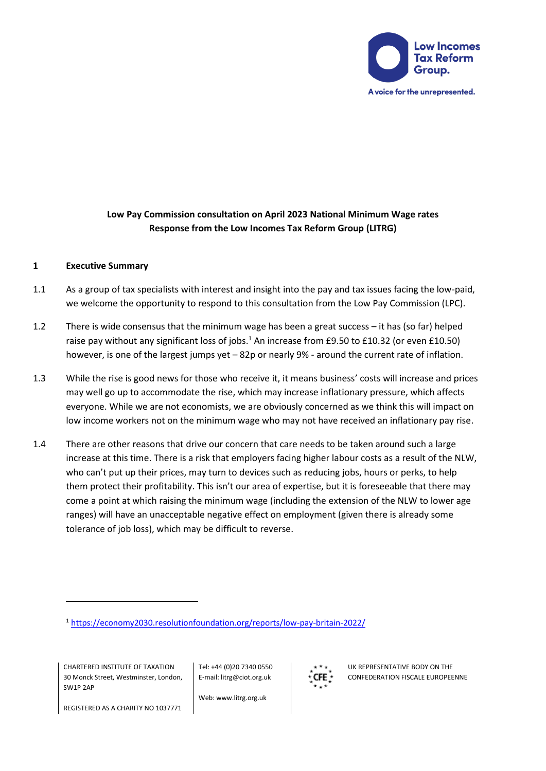

# **Low Pay Commission consultation on April 2023 National Minimum Wage rates Response from the Low Incomes Tax Reform Group (LITRG)**

### **1 Executive Summary**

- 1.1 As a group of tax specialists with interest and insight into the pay and tax issues facing the low-paid, we welcome the opportunity to respond to this consultation from the Low Pay Commission (LPC).
- 1.2 There is wide consensus that the minimum wage has been a great success it has (so far) helped raise pay without any significant loss of jobs.<sup>1</sup> An increase from £9.50 to £10.32 (or even £10.50) however, is one of the largest jumps yet – 82p or nearly 9% - around the current rate of inflation.
- 1.3 While the rise is good news for those who receive it, it means business' costs will increase and prices may well go up to accommodate the rise, which may increase inflationary pressure, which affects everyone. While we are not economists, we are obviously concerned as we think this will impact on low income workers not on the minimum wage who may not have received an inflationary pay rise.
- 1.4 There are other reasons that drive our concern that care needs to be taken around such a large increase at this time. There is a risk that employers facing higher labour costs as a result of the NLW, who can't put up their prices, may turn to devices such as reducing jobs, hours or perks, to help them protect their profitability. This isn't our area of expertise, but it is foreseeable that there may come a point at which raising the minimum wage (including the extension of the NLW to lower age ranges) will have an unacceptable negative effect on employment (given there is already some tolerance of job loss), which may be difficult to reverse.

CHARTERED INSTITUTE OF TAXATION 30 Monck Street, Westminster, London, SW1P 2AP

Tel: +44 (0)20 7340 0550 E-mail: litrg@ciot.org.uk

Web: www.litrg.org.uk



UK REPRESENTATIVE BODY ON THE CONFEDERATION FISCALE EUROPEENNE

REGISTERED AS A CHARITY NO 1037771

<sup>1</sup> <https://economy2030.resolutionfoundation.org/reports/low-pay-britain-2022/>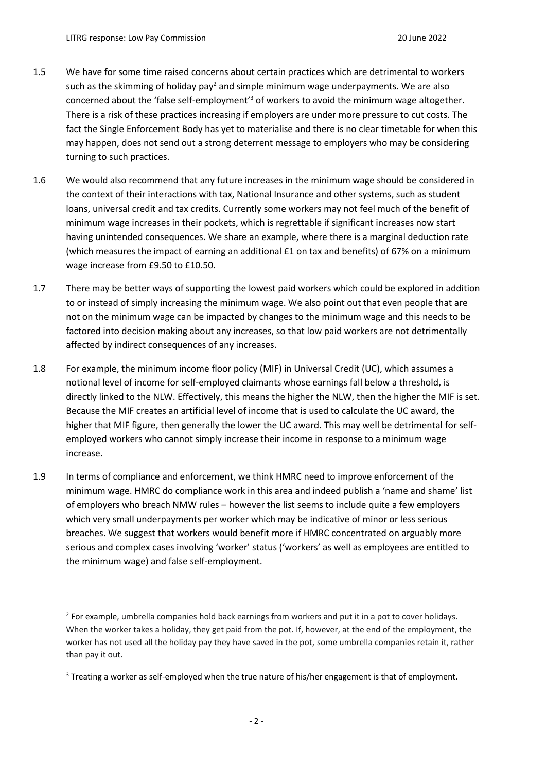- 1.5 We have for some time raised concerns about certain practices which are detrimental to workers such as the skimming of holiday pay<sup>2</sup> and simple minimum wage underpayments. We are also concerned about the 'false self-employment'<sup>3</sup> of workers to avoid the minimum wage altogether. There is a risk of these practices increasing if employers are under more pressure to cut costs. The fact the Single Enforcement Body has yet to materialise and there is no clear timetable for when this may happen, does not send out a strong deterrent message to employers who may be considering turning to such practices.
- 1.6 We would also recommend that any future increases in the minimum wage should be considered in the context of their interactions with tax, National Insurance and other systems, such as student loans, universal credit and tax credits. Currently some workers may not feel much of the benefit of minimum wage increases in their pockets, which is regrettable if significant increases now start having unintended consequences. We share an example, where there is a marginal deduction rate (which measures the impact of earning an additional £1 on tax and benefits) of 67% on a minimum wage increase from £9.50 to £10.50.
- 1.7 There may be better ways of supporting the lowest paid workers which could be explored in addition to or instead of simply increasing the minimum wage. We also point out that even people that are not on the minimum wage can be impacted by changes to the minimum wage and this needs to be factored into decision making about any increases, so that low paid workers are not detrimentally affected by indirect consequences of any increases.
- 1.8 For example, the minimum income floor policy (MIF) in Universal Credit (UC), which assumes a notional level of income for self-employed claimants whose earnings fall below a threshold, is directly linked to the NLW. Effectively, this means the higher the NLW, then the higher the MIF is set. Because the MIF creates an artificial level of income that is used to calculate the UC award, the higher that MIF figure, then generally the lower the UC award. This may well be detrimental for selfemployed workers who cannot simply increase their income in response to a minimum wage increase.
- 1.9 In terms of compliance and enforcement, we think HMRC need to improve enforcement of the minimum wage. HMRC do compliance work in this area and indeed publish a 'name and shame' list of employers who breach NMW rules – however the list seems to include quite a few employers which very small underpayments per worker which may be indicative of minor or less serious breaches. We suggest that workers would benefit more if HMRC concentrated on arguably more serious and complex cases involving 'worker' status ('workers' as well as employees are entitled to the minimum wage) and false self-employment.

<sup>&</sup>lt;sup>2</sup> For example, umbrella companies hold back earnings from workers and put it in a pot to cover holidays. When the worker takes a holiday, they get paid from the pot. If, however, at the end of the employment, the worker has not used all the holiday pay they have saved in the pot, some umbrella companies retain it, rather than pay it out.

<sup>&</sup>lt;sup>3</sup> Treating a worker as self-employed when the true nature of his/her engagement is that of employment.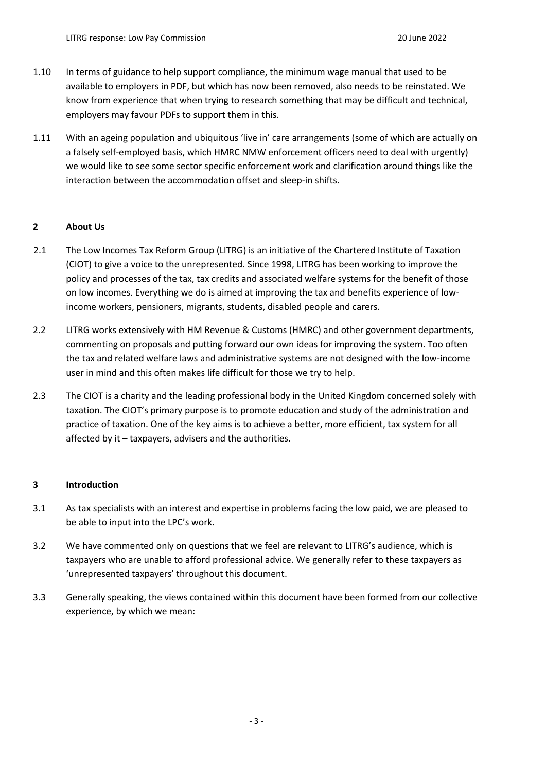- 1.10 In terms of guidance to help support compliance, the minimum wage manual that used to be available to employers in PDF, but which has now been removed, also needs to be reinstated. We know from experience that when trying to research something that may be difficult and technical, employers may favour PDFs to support them in this.
- 1.11 With an ageing population and ubiquitous 'live in' care arrangements (some of which are actually on a falsely self-employed basis, which HMRC NMW enforcement officers need to deal with urgently) we would like to see some sector specific enforcement work and clarification around things like the interaction between the accommodation offset and sleep-in shifts.

### **2 About Us**

- 2.1 The Low Incomes Tax Reform Group (LITRG) is an initiative of the Chartered Institute of Taxation (CIOT) to give a voice to the unrepresented. Since 1998, LITRG has been working to improve the policy and processes of the tax, tax credits and associated welfare systems for the benefit of those on low incomes. Everything we do is aimed at improving the tax and benefits experience of lowincome workers, pensioners, migrants, students, disabled people and carers.
- 2.2 LITRG works extensively with HM Revenue & Customs (HMRC) and other government departments, commenting on proposals and putting forward our own ideas for improving the system. Too often the tax and related welfare laws and administrative systems are not designed with the low-income user in mind and this often makes life difficult for those we try to help.
- 2.3 The CIOT is a charity and the leading professional body in the United Kingdom concerned solely with taxation. The CIOT's primary purpose is to promote education and study of the administration and practice of taxation. One of the key aims is to achieve a better, more efficient, tax system for all affected by it – taxpayers, advisers and the authorities.

### **3 Introduction**

- 3.1 As tax specialists with an interest and expertise in problems facing the low paid, we are pleased to be able to input into the LPC's work.
- 3.2 We have commented only on questions that we feel are relevant to LITRG's audience, which is taxpayers who are unable to afford professional advice. We generally refer to these taxpayers as 'unrepresented taxpayers' throughout this document.
- 3.3 Generally speaking, the views contained within this document have been formed from our collective experience, by which we mean: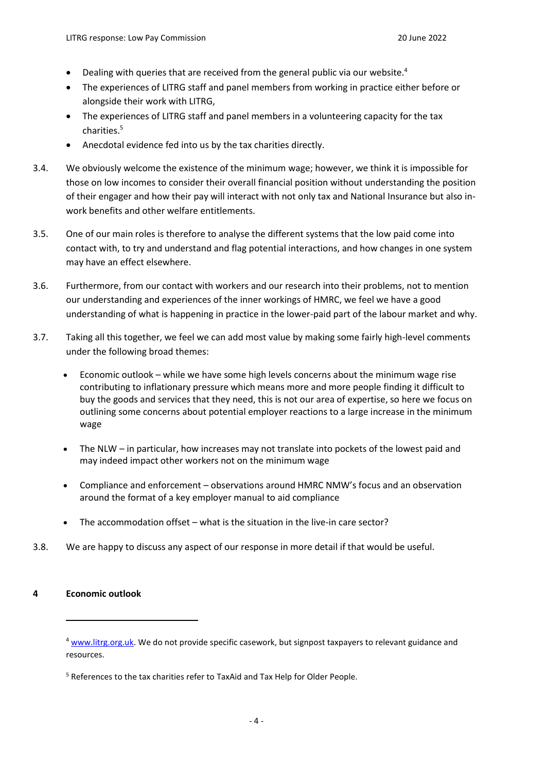- Dealing with queries that are received from the general public via our website.<sup>4</sup>
- The experiences of LITRG staff and panel members from working in practice either before or alongside their work with LITRG,
- The experiences of LITRG staff and panel members in a volunteering capacity for the tax charities.<sup>5</sup>
- Anecdotal evidence fed into us by the tax charities directly.
- 3.4. We obviously welcome the existence of the minimum wage; however, we think it is impossible for those on low incomes to consider their overall financial position without understanding the position of their engager and how their pay will interact with not only tax and National Insurance but also inwork benefits and other welfare entitlements.
- 3.5. One of our main roles is therefore to analyse the different systems that the low paid come into contact with, to try and understand and flag potential interactions, and how changes in one system may have an effect elsewhere.
- 3.6. Furthermore, from our contact with workers and our research into their problems, not to mention our understanding and experiences of the inner workings of HMRC, we feel we have a good understanding of what is happening in practice in the lower-paid part of the labour market and why.
- 3.7. Taking all this together, we feel we can add most value by making some fairly high-level comments under the following broad themes:
	- Economic outlook while we have some high levels concerns about the minimum wage rise contributing to inflationary pressure which means more and more people finding it difficult to buy the goods and services that they need, this is not our area of expertise, so here we focus on outlining some concerns about potential employer reactions to a large increase in the minimum wage
	- The NLW in particular, how increases may not translate into pockets of the lowest paid and may indeed impact other workers not on the minimum wage
	- Compliance and enforcement observations around HMRC NMW's focus and an observation around the format of a key employer manual to aid compliance
	- The accommodation offset what is the situation in the live-in care sector?
- 3.8. We are happy to discuss any aspect of our response in more detail if that would be useful.

#### **4 Economic outlook**

<sup>&</sup>lt;sup>4</sup> [www.litrg.org.uk.](http://www.litrg.org.uk/) We do not provide specific casework, but signpost taxpayers to relevant guidance and resources.

<sup>&</sup>lt;sup>5</sup> References to the tax charities refer to TaxAid and Tax Help for Older People.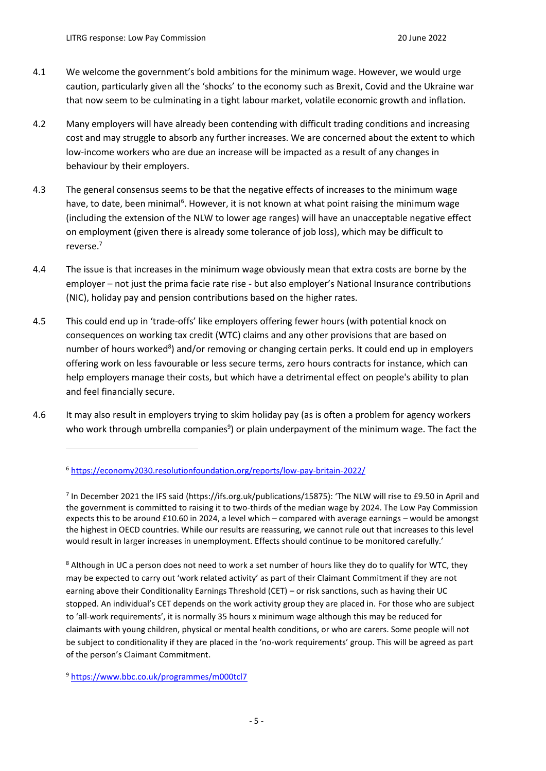- 4.1 We welcome the government's bold ambitions for the minimum wage. However, we would urge caution, particularly given all the 'shocks' to the economy such as Brexit, Covid and the Ukraine war that now seem to be culminating in a tight labour market, volatile economic growth and inflation.
- 4.2 Many employers will have already been contending with difficult trading conditions and increasing cost and may struggle to absorb any further increases. We are concerned about the extent to which low-income workers who are due an increase will be impacted as a result of any changes in behaviour by their employers.
- 4.3 The general consensus seems to be that the negative effects of increases to the minimum wage have, to date, been minimal<sup>6</sup>. However, it is not known at what point raising the minimum wage (including the extension of the NLW to lower age ranges) will have an unacceptable negative effect on employment (given there is already some tolerance of job loss), which may be difficult to reverse.<sup>7</sup>
- 4.4 The issue is that increases in the minimum wage obviously mean that extra costs are borne by the employer – not just the prima facie rate rise - but also employer's National Insurance contributions (NIC), holiday pay and pension contributions based on the higher rates.
- 4.5 This could end up in 'trade-offs' like employers offering fewer hours (with potential knock on consequences on working tax credit (WTC) claims and any other provisions that are based on number of hours worked<sup>8</sup>) and/or removing or changing certain perks. It could end up in employers offering work on less favourable or less secure terms, zero hours contracts for instance, which can help employers manage their costs, but which have a detrimental effect on people's ability to plan and feel financially secure.
- 4.6 It may also result in employers trying to skim holiday pay (as is often a problem for agency workers who work through umbrella companies<sup>9</sup>) or plain underpayment of the minimum wage. The fact the

<sup>6</sup> <https://economy2030.resolutionfoundation.org/reports/low-pay-britain-2022/>

<sup>&</sup>lt;sup>7</sup> In December 2021 the IFS said [\(https://ifs.org.uk/publications/15875\)](https://ifs.org.uk/publications/15875): 'The NLW will rise to £9.50 in April and the government is committed to raising it to two-thirds of the median wage by 2024. The Low Pay Commission expects this to be around £10.60 in 2024, a level which – compared with average earnings – would be amongst the highest in OECD countries. While our results are reassuring, we cannot rule out that increases to this level would result in larger increases in unemployment. Effects should continue to be monitored carefully.'

<sup>&</sup>lt;sup>8</sup> Although in UC a person does not need to work a set number of hours like they do to qualify for WTC, they may be expected to carry out 'work related activity' as part of their Claimant Commitment if they are not earning above their Conditionality Earnings Threshold (CET) – or risk sanctions, such as having their UC stopped. An individual's CET depends on the work activity group they are placed in. For those who are subject to 'all-work requirements', it is normally 35 hours x minimum wage although this may be reduced for claimants with young children, physical or mental health conditions, or who are carers. Some people will not be subject to conditionality if they are placed in the 'no-work requirements' group. This will be agreed as part of the person's Claimant Commitment.

<sup>9</sup> <https://www.bbc.co.uk/programmes/m000tcl7>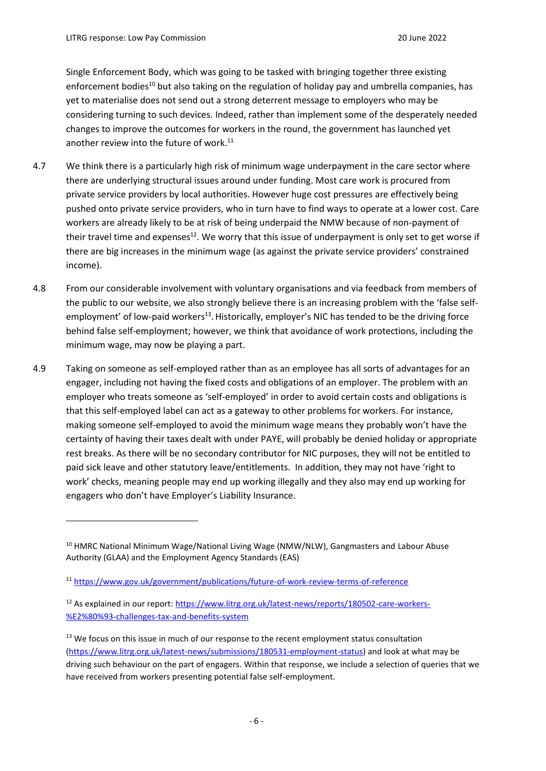Single Enforcement Body, which was going to be tasked with bringing together three existing enforcement bodies<sup>10</sup> but also taking on the regulation of holiday pay and umbrella companies, has yet to materialise does not send out a strong deterrent message to employers who may be considering turning to such devices. Indeed, rather than implement some of the desperately needed changes to improve the outcomes for workers in the round, the government has launched yet another review into the future of work.<sup>11</sup>

- 4.7 We think there is a particularly high risk of minimum wage underpayment in the care sector where there are underlying structural issues around under funding. Most care work is procured from private service providers by local authorities. However huge cost pressures are effectively being pushed onto private service providers, who in turn have to find ways to operate at a lower cost. Care workers are already likely to be at risk of being underpaid the NMW because of non-payment of their travel time and expenses $12$ . We worry that this issue of underpayment is only set to get worse if there are big increases in the minimum wage (as against the private service providers' constrained income).
- 4.8 From our considerable involvement with voluntary organisations and via feedback from members of the public to our website, we also strongly believe there is an increasing problem with the 'false selfemployment' of low-paid workers<sup>13</sup>. Historically, employer's NIC has tended to be the driving force behind false self-employment; however, we think that avoidance of work protections, including the minimum wage, may now be playing a part.
- 4.9 Taking on someone as self-employed rather than as an employee has all sorts of advantages for an engager, including not having the fixed costs and obligations of an employer. The problem with an employer who treats someone as 'self-employed' in order to avoid certain costs and obligations is that this self-employed label can act as a gateway to other problems for workers. For instance, making someone self-employed to avoid the minimum wage means they probably won't have the certainty of having their taxes dealt with under PAYE, will probably be denied holiday or appropriate rest breaks. As there will be no secondary contributor for NIC purposes, they will not be entitled to paid sick leave and other statutory leave/entitlements. In addition, they may not have 'right to work' checks, meaning people may end up working illegally and they also may end up working for engagers who don't have Employer's Liability Insurance.

<sup>&</sup>lt;sup>10</sup> HMRC National Minimum Wage/National Living Wage (NMW/NLW), Gangmasters and Labour Abuse Authority (GLAA) and the Employment Agency Standards (EAS)

<sup>11</sup> <https://www.gov.uk/government/publications/future-of-work-review-terms-of-reference>

<sup>12</sup> As explained in our report: [https://www.litrg.org.uk/latest-news/reports/180502-care-workers-](https://www.litrg.org.uk/latest-news/reports/180502-care-workers-%E2%80%93-challenges-tax-and-benefits-system) [%E2%80%93-challenges-tax-and-benefits-system](https://www.litrg.org.uk/latest-news/reports/180502-care-workers-%E2%80%93-challenges-tax-and-benefits-system)

<sup>&</sup>lt;sup>13</sup> We focus on this issue in much of our response to the recent employment status consultation [\(https://www.litrg.org.uk/latest-news/submissions/180531-employment-status\)](https://www.litrg.org.uk/latest-news/submissions/180531-employment-status) and look at what may be driving such behaviour on the part of engagers. Within that response, we include a selection of queries that we have received from workers presenting potential false self-employment.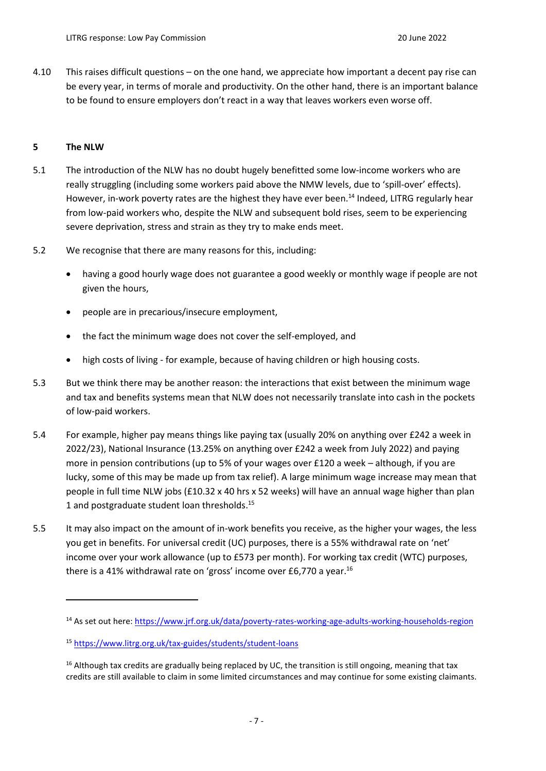4.10 This raises difficult questions – on the one hand, we appreciate how important a decent pay rise can be every year, in terms of morale and productivity. On the other hand, there is an important balance to be found to ensure employers don't react in a way that leaves workers even worse off.

## **5 The NLW**

- 5.1 The introduction of the NLW has no doubt hugely benefitted some low-income workers who are really struggling (including some workers paid above the NMW levels, due to 'spill-over' effects). However, in-work poverty rates are the highest they have ever been.<sup>14</sup> Indeed, LITRG regularly hear from low-paid workers who, despite the NLW and subsequent bold rises, seem to be experiencing severe deprivation, stress and strain as they try to make ends meet.
- 5.2 We recognise that there are many reasons for this, including:
	- having a good hourly wage does not guarantee a good weekly or monthly wage if people are not given the hours,
	- people are in precarious/insecure employment,
	- the fact the minimum wage does not cover the self-employed, and
	- high costs of living for example, because of having children or high housing costs.
- 5.3 But we think there may be another reason: the interactions that exist between the minimum wage and tax and benefits systems mean that NLW does not necessarily translate into cash in the pockets of low-paid workers.
- 5.4 For example, higher pay means things like paying tax (usually 20% on anything over £242 a week in 2022/23), National Insurance (13.25% on anything over £242 a week from July 2022) and paying more in pension contributions (up to 5% of your wages over £120 a week – although, if you are lucky, some of this may be made up from tax relief). A large minimum wage increase may mean that people in full time NLW jobs (£10.32 x 40 hrs x 52 weeks) will have an annual wage higher than plan 1 and postgraduate student loan thresholds. 15
- 5.5 It may also impact on the amount of in-work benefits you receive, as the higher your wages, the less you get in benefits. For universal credit (UC) purposes, there is a 55% withdrawal rate on 'net' income over your work allowance (up to £573 per month). For working tax credit (WTC) purposes, there is a 41% withdrawal rate on 'gross' income over £6,770 a year.<sup>16</sup>

<sup>14</sup> As set out here:<https://www.jrf.org.uk/data/poverty-rates-working-age-adults-working-households-region>

<sup>15</sup> <https://www.litrg.org.uk/tax-guides/students/student-loans>

<sup>&</sup>lt;sup>16</sup> Although tax credits are gradually being replaced by UC, the transition is still ongoing, meaning that tax credits are still available to claim in some limited circumstances and may continue for some existing claimants.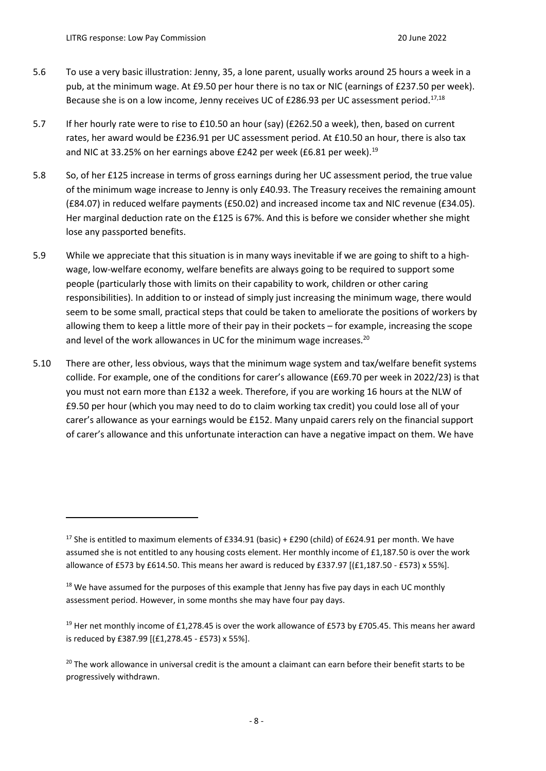- 5.6 To use a very basic illustration: Jenny, 35, a lone parent, usually works around 25 hours a week in a pub, at the minimum wage. At £9.50 per hour there is no tax or NIC (earnings of £237.50 per week). Because she is on a low income, Jenny receives UC of £286.93 per UC assessment period.<sup>17,18</sup>
- 5.7 If her hourly rate were to rise to £10.50 an hour (say) (£262.50 a week), then, based on current rates, her award would be £236.91 per UC assessment period. At £10.50 an hour, there is also tax and NIC at 33.25% on her earnings above £242 per week (£6.81 per week).<sup>19</sup>
- 5.8 So, of her £125 increase in terms of gross earnings during her UC assessment period, the true value of the minimum wage increase to Jenny is only £40.93. The Treasury receives the remaining amount (£84.07) in reduced welfare payments (£50.02) and increased income tax and NIC revenue (£34.05). Her marginal deduction rate on the £125 is 67%. And this is before we consider whether she might lose any passported benefits.
- 5.9 While we appreciate that this situation is in many ways inevitable if we are going to shift to a highwage, low-welfare economy, welfare benefits are always going to be required to support some people (particularly those with limits on their capability to work, children or other caring responsibilities). In addition to or instead of simply just increasing the minimum wage, there would seem to be some small, practical steps that could be taken to ameliorate the positions of workers by allowing them to keep a little more of their pay in their pockets – for example, increasing the scope and level of the work allowances in UC for the minimum wage increases.<sup>20</sup>
- 5.10 There are other, less obvious, ways that the minimum wage system and tax/welfare benefit systems collide. For example, one of the conditions for carer's allowance (£69.70 per week in 2022/23) is that you must not earn more than £132 a week. Therefore, if you are working 16 hours at the NLW of £9.50 per hour (which you may need to do to claim working tax credit) you could lose all of your carer's allowance as your earnings would be £152. Many unpaid carers rely on the financial support of carer's allowance and this unfortunate interaction can have a negative impact on them. We have

<sup>&</sup>lt;sup>17</sup> She is entitled to maximum elements of £334.91 (basic) + £290 (child) of £624.91 per month. We have assumed she is not entitled to any housing costs element. Her monthly income of £1,187.50 is over the work allowance of £573 by £614.50. This means her award is reduced by £337.97 [(£1,187.50 - £573) x 55%].

 $18$  We have assumed for the purposes of this example that Jenny has five pay days in each UC monthly assessment period. However, in some months she may have four pay days.

<sup>&</sup>lt;sup>19</sup> Her net monthly income of £1,278.45 is over the work allowance of £573 by £705.45. This means her award is reduced by £387.99 [(£1,278.45 - £573) x 55%].

<sup>&</sup>lt;sup>20</sup> The work allowance in universal credit is the amount a claimant can earn before their benefit starts to be progressively withdrawn.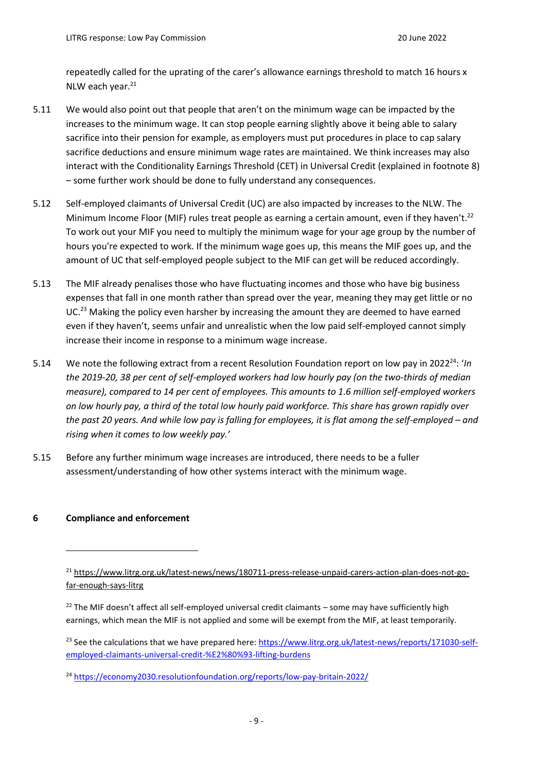repeatedly called for the uprating of the carer's allowance earnings threshold to match 16 hours x NLW each year.<sup>21</sup>

- 5.11 We would also point out that people that aren't on the minimum wage can be impacted by the increases to the minimum wage. It can stop people earning slightly above it being able to salary sacrifice into their pension for example, as employers must put procedures in place to cap salary sacrifice deductions and ensure minimum wage rates are maintained. We think increases may also interact with the Conditionality Earnings Threshold (CET) in Universal Credit (explained in footnote 8) – some further work should be done to fully understand any consequences.
- 5.12 Self-employed claimants of Universal Credit (UC) are also impacted by increases to the NLW. The Minimum Income Floor (MIF) rules treat people as earning a certain amount, even if they haven't.<sup>22</sup> To work out your MIF you need to multiply the minimum wage for your age group by the number of hours you're expected to work. If the minimum wage goes up, this means the MIF goes up, and the amount of UC that self-employed people subject to the MIF can get will be reduced accordingly.
- 5.13 The MIF already penalises those who have fluctuating incomes and those who have big business expenses that fall in one month rather than spread over the year, meaning they may get little or no UC.<sup>23</sup> Making the policy even harsher by increasing the amount they are deemed to have earned even if they haven't, seems unfair and unrealistic when the low paid self-employed cannot simply increase their income in response to a minimum wage increase.
- 5.14 We note the following extract from a recent Resolution Foundation report on low pay in 2022<sup>24</sup>: '*In the 2019-20, 38 per cent of self-employed workers had low hourly pay (on the two-thirds of median measure), compared to 14 per cent of employees. This amounts to 1.6 million self-employed workers on low hourly pay, a third of the total low hourly paid workforce. This share has grown rapidly over the past 20 years. And while low pay is falling for employees, it is flat among the self-employed – and rising when it comes to low weekly pay.'*
- 5.15 Before any further minimum wage increases are introduced, there needs to be a fuller assessment/understanding of how other systems interact with the minimum wage.

### **6 Compliance and enforcement**

<sup>21</sup> [https://www.litrg.org.uk/latest-news/news/180711-press-release-unpaid-carers-action-plan-does-not-go](https://www.litrg.org.uk/latest-news/news/180711-press-release-unpaid-carers-action-plan-does-not-go-far-enough-says-litrg)[far-enough-says-litrg](https://www.litrg.org.uk/latest-news/news/180711-press-release-unpaid-carers-action-plan-does-not-go-far-enough-says-litrg)

 $22$  The MIF doesn't affect all self-employed universal credit claimants – some may have sufficiently high earnings, which mean the MIF is not applied and some will be exempt from the MIF, at least temporarily.

<sup>&</sup>lt;sup>23</sup> See the calculations that we have prepared here: [https://www.litrg.org.uk/latest-news/reports/171030-self](https://www.litrg.org.uk/latest-news/reports/171030-self-employed-claimants-universal-credit-%E2%80%93-lifting-burdens)[employed-claimants-universal-credit-%E2%80%93-lifting-burdens](https://www.litrg.org.uk/latest-news/reports/171030-self-employed-claimants-universal-credit-%E2%80%93-lifting-burdens)

<sup>24</sup> <https://economy2030.resolutionfoundation.org/reports/low-pay-britain-2022/>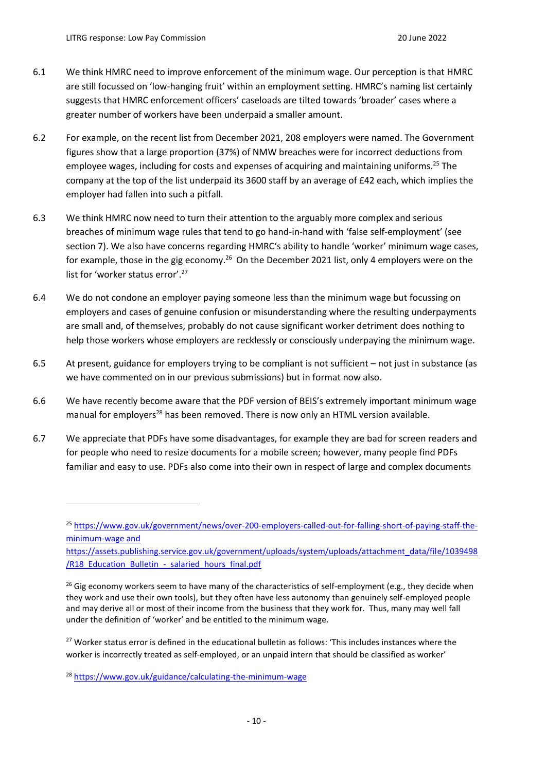- 6.1 We think HMRC need to improve enforcement of the minimum wage. Our perception is that HMRC are still focussed on 'low-hanging fruit' within an employment setting. HMRC's naming list certainly suggests that HMRC enforcement officers' caseloads are tilted towards 'broader' cases where a greater number of workers have been underpaid a smaller amount.
- 6.2 For example, on the recent list from December 2021, 208 employers were named. The Government figures show that a large proportion (37%) of NMW breaches were for incorrect deductions from employee wages, including for costs and expenses of acquiring and maintaining uniforms.<sup>25</sup> The company at the top of the list underpaid its 3600 staff by an average of £42 each, which implies the employer had fallen into such a pitfall.
- 6.3 We think HMRC now need to turn their attention to the arguably more complex and serious breaches of minimum wage rules that tend to go hand-in-hand with 'false self-employment' (see section 7). We also have concerns regarding HMRC's ability to handle 'worker' minimum wage cases, for example, those in the gig economy.<sup>26</sup> On the December 2021 list, only 4 employers were on the list for 'worker status error'. 27
- 6.4 We do not condone an employer paying someone less than the minimum wage but focussing on employers and cases of genuine confusion or misunderstanding where the resulting underpayments are small and, of themselves, probably do not cause significant worker detriment does nothing to help those workers whose employers are recklessly or consciously underpaying the minimum wage.
- 6.5 At present, guidance for employers trying to be compliant is not sufficient not just in substance (as we have commented on in our previous submissions) but in format now also.
- 6.6 We have recently become aware that the PDF version of BEIS's extremely important minimum wage manual for employers<sup>28</sup> has been removed. There is now only an HTML version available.
- 6.7 We appreciate that PDFs have some disadvantages, for example they are bad for screen readers and for people who need to resize documents for a mobile screen; however, many people find PDFs familiar and easy to use. PDFs also come into their own in respect of large and complex documents

<sup>&</sup>lt;sup>25</sup> [https://www.gov.uk/government/news/over-200-employers-called-out-for-falling-short-of-paying-staff-the](https://www.gov.uk/government/news/over-200-employers-called-out-for-falling-short-of-paying-staff-the-minimum-wage)[minimum-wage](https://www.gov.uk/government/news/over-200-employers-called-out-for-falling-short-of-paying-staff-the-minimum-wage) and

https://assets.publishing.service.gov.uk/government/uploads/system/uploads/attachment\_data/file/1039498 /R18 Education Bulletin - salaried hours final.pdf

<sup>&</sup>lt;sup>26</sup> Gig economy workers seem to have many of the characteristics of self-employment (e.g., they decide when they work and use their own tools), but they often have less autonomy than genuinely self-employed people and may derive all or most of their income from the business that they work for. Thus, many may well fall under the definition of 'worker' and be entitled to the minimum wage.

<sup>&</sup>lt;sup>27</sup> Worker status error is defined in the educational bulletin as follows: 'This includes instances where the worker is incorrectly treated as self-employed, or an unpaid intern that should be classified as worker'

<sup>28</sup> <https://www.gov.uk/guidance/calculating-the-minimum-wage>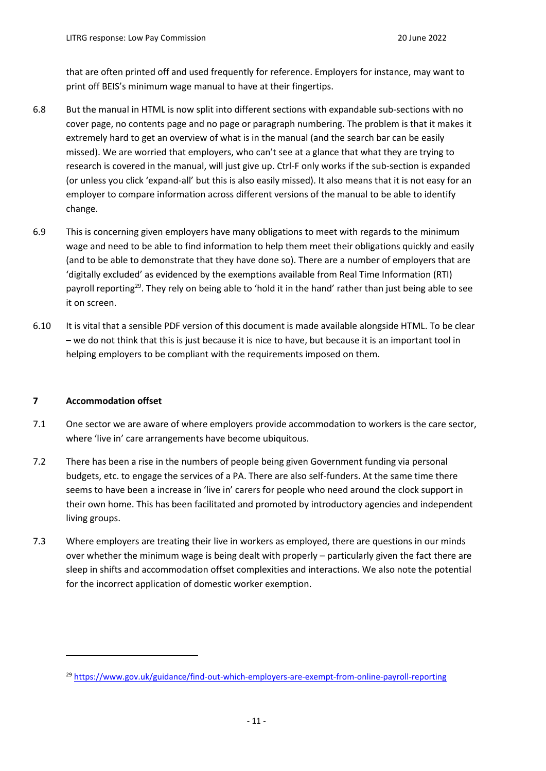that are often printed off and used frequently for reference. Employers for instance, may want to print off BEIS's minimum wage manual to have at their fingertips.

- 6.8 But the manual in HTML is now split into different sections with expandable sub-sections with no cover page, no contents page and no page or paragraph numbering. The problem is that it makes it extremely hard to get an overview of what is in the manual (and the search bar can be easily missed). We are worried that employers, who can't see at a glance that what they are trying to research is covered in the manual, will just give up. Ctrl-F only works if the sub-section is expanded (or unless you click 'expand-all' but this is also easily missed). It also means that it is not easy for an employer to compare information across different versions of the manual to be able to identify change.
- 6.9 This is concerning given employers have many obligations to meet with regards to the minimum wage and need to be able to find information to help them meet their obligations quickly and easily (and to be able to demonstrate that they have done so). There are a number of employers that are 'digitally excluded' as evidenced by the exemptions available from Real Time Information (RTI) payroll reporting<sup>29</sup>. They rely on being able to 'hold it in the hand' rather than just being able to see it on screen.
- 6.10 It is vital that a sensible PDF version of this document is made available alongside HTML. To be clear – we do not think that this is just because it is nice to have, but because it is an important tool in helping employers to be compliant with the requirements imposed on them.

### **7 Accommodation offset**

- 7.1 One sector we are aware of where employers provide accommodation to workers is the care sector, where 'live in' care arrangements have become ubiquitous.
- 7.2 There has been a rise in the numbers of people being given Government funding via personal budgets, etc. to engage the services of a PA. There are also self-funders. At the same time there seems to have been a increase in 'live in' carers for people who need around the clock support in their own home. This has been facilitated and promoted by introductory agencies and independent living groups.
- 7.3 Where employers are treating their live in workers as employed, there are questions in our minds over whether the minimum wage is being dealt with properly – particularly given the fact there are sleep in shifts and accommodation offset complexities and interactions. We also note the potential for the incorrect application of domestic worker exemption.

<sup>29</sup> <https://www.gov.uk/guidance/find-out-which-employers-are-exempt-from-online-payroll-reporting>